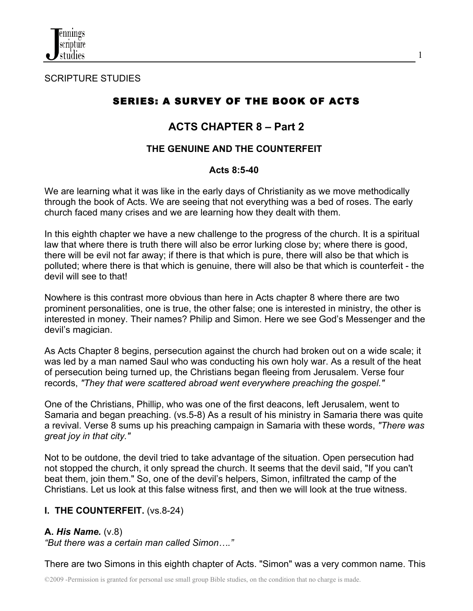

SCRIPTURE STUDIES

# SERIES: A SURVEY OF THE BOOK OF ACTS

1

# **ACTS CHAPTER 8 – Part 2**

## **THE GENUINE AND THE COUNTERFEIT**

#### **Acts 8:5-40**

We are learning what it was like in the early days of Christianity as we move methodically through the book of Acts. We are seeing that not everything was a bed of roses. The early church faced many crises and we are learning how they dealt with them.

In this eighth chapter we have a new challenge to the progress of the church. It is a spiritual law that where there is truth there will also be error lurking close by; where there is good, there will be evil not far away; if there is that which is pure, there will also be that which is polluted; where there is that which is genuine, there will also be that which is counterfeit - the devil will see to that!

Nowhere is this contrast more obvious than here in Acts chapter 8 where there are two prominent personalities, one is true, the other false; one is interested in ministry, the other is interested in money. Their names? Philip and Simon. Here we see God's Messenger and the devil's magician.

As Acts Chapter 8 begins, persecution against the church had broken out on a wide scale; it was led by a man named Saul who was conducting his own holy war. As a result of the heat of persecution being turned up, the Christians began fleeing from Jerusalem. Verse four records, *"They that were scattered abroad went everywhere preaching the gospel."*

One of the Christians, Phillip, who was one of the first deacons, left Jerusalem, went to Samaria and began preaching. (vs.5-8) As a result of his ministry in Samaria there was quite a revival. Verse 8 sums up his preaching campaign in Samaria with these words, *"There was great joy in that city."*

Not to be outdone, the devil tried to take advantage of the situation. Open persecution had not stopped the church, it only spread the church. It seems that the devil said, "If you can't beat them, join them." So, one of the devil's helpers, Simon, infiltrated the camp of the Christians. Let us look at this false witness first, and then we will look at the true witness.

## **I. THE COUNTERFEIT.** (vs.8-24)

## **A.** *His Name.* (v.8)

*"But there was a certain man called Simon…."*

There are two Simons in this eighth chapter of Acts. "Simon" was a very common name. This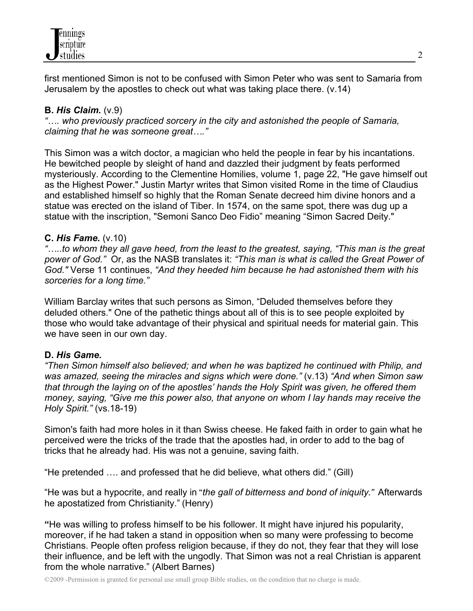

first mentioned Simon is not to be confused with Simon Peter who was sent to Samaria from Jerusalem by the apostles to check out what was taking place there. (v.14)

### **B.** *His Claim.* (v.9)

*"…. who previously practiced sorcery in the city and astonished the people of Samaria, claiming that he was someone great…."* 

This Simon was a witch doctor, a magician who held the people in fear by his incantations. He bewitched people by sleight of hand and dazzled their judgment by feats performed mysteriously. According to the Clementine Homilies, volume 1, page 22, "He gave himself out as the Highest Power." Justin Martyr writes that Simon visited Rome in the time of Claudius and established himself so highly that the Roman Senate decreed him divine honors and a statue was erected on the island of Tiber. In 1574, on the same spot, there was dug up a statue with the inscription, "Semoni Sanco Deo Fidio" meaning "Simon Sacred Deity."

#### **C.** *His Fame.* (v.10)

*"…..to whom they all gave heed, from the least to the greatest, saying, "This man is the great power of God."* Or, as the NASB translates it: *"This man is what is called the Great Power of God."* Verse 11 continues, *"And they heeded him because he had astonished them with his sorceries for a long time."*

William Barclay writes that such persons as Simon, "Deluded themselves before they deluded others." One of the pathetic things about all of this is to see people exploited by those who would take advantage of their physical and spiritual needs for material gain. This we have seen in our own day.

#### **D.** *His Game.*

*"Then Simon himself also believed; and when he was baptized he continued with Philip, and was amazed, seeing the miracles and signs which were done."* (v.13) *"And when Simon saw that through the laying on of the apostles' hands the Holy Spirit was given, he offered them money, saying, "Give me this power also, that anyone on whom I lay hands may receive the Holy Spirit."* (vs.18-19)

Simon's faith had more holes in it than Swiss cheese. He faked faith in order to gain what he perceived were the tricks of the trade that the apostles had, in order to add to the bag of tricks that he already had. His was not a genuine, saving faith.

"He pretended …. and professed that he did believe, what others did." (Gill)

"He was but a hypocrite, and really in "*the gall of bitterness and bond of iniquity."* Afterwards he apostatized from Christianity." (Henry)

**"**He was willing to profess himself to be his follower. It might have injured his popularity, moreover, if he had taken a stand in opposition when so many were professing to become Christians. People often profess religion because, if they do not, they fear that they will lose their influence, and be left with the ungodly. That Simon was not a real Christian is apparent from the whole narrative." (Albert Barnes)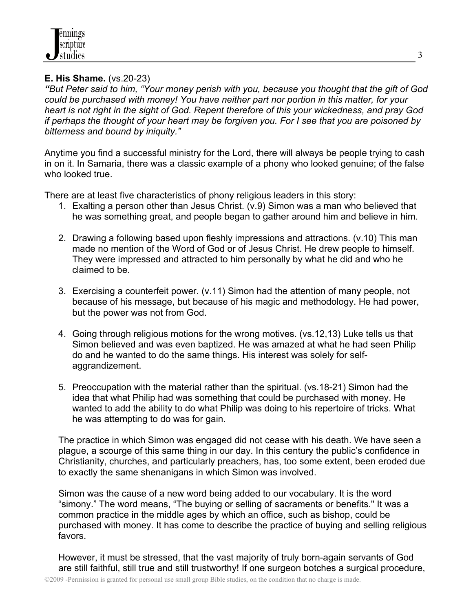#### **E. His Shame.** (vs.20-23)

*"But Peter said to him, "Your money perish with you, because you thought that the gift of God could be purchased with money! You have neither part nor portion in this matter, for your heart is not right in the sight of God. Repent therefore of this your wickedness, and pray God if perhaps the thought of your heart may be forgiven you. For I see that you are poisoned by bitterness and bound by iniquity."*

Anytime you find a successful ministry for the Lord, there will always be people trying to cash in on it. In Samaria, there was a classic example of a phony who looked genuine; of the false who looked true.

There are at least five characteristics of phony religious leaders in this story:

- 1. Exalting a person other than Jesus Christ. (v.9) Simon was a man who believed that he was something great, and people began to gather around him and believe in him.
- 2. Drawing a following based upon fleshly impressions and attractions. (v.10) This man made no mention of the Word of God or of Jesus Christ. He drew people to himself. They were impressed and attracted to him personally by what he did and who he claimed to be.
- 3. Exercising a counterfeit power. (v.11) Simon had the attention of many people, not because of his message, but because of his magic and methodology. He had power, but the power was not from God.
- 4. Going through religious motions for the wrong motives. (vs.12,13) Luke tells us that Simon believed and was even baptized. He was amazed at what he had seen Philip do and he wanted to do the same things. His interest was solely for selfaggrandizement.
- 5. Preoccupation with the material rather than the spiritual. (vs.18-21) Simon had the idea that what Philip had was something that could be purchased with money. He wanted to add the ability to do what Philip was doing to his repertoire of tricks. What he was attempting to do was for gain.

The practice in which Simon was engaged did not cease with his death. We have seen a plague, a scourge of this same thing in our day. In this century the public's confidence in Christianity, churches, and particularly preachers, has, too some extent, been eroded due to exactly the same shenanigans in which Simon was involved.

Simon was the cause of a new word being added to our vocabulary. It is the word "simony." The word means, "The buying or selling of sacraments or benefits." It was a common practice in the middle ages by which an office, such as bishop, could be purchased with money. It has come to describe the practice of buying and selling religious favors.

However, it must be stressed, that the vast majority of truly born-again servants of God are still faithful, still true and still trustworthy! If one surgeon botches a surgical procedure,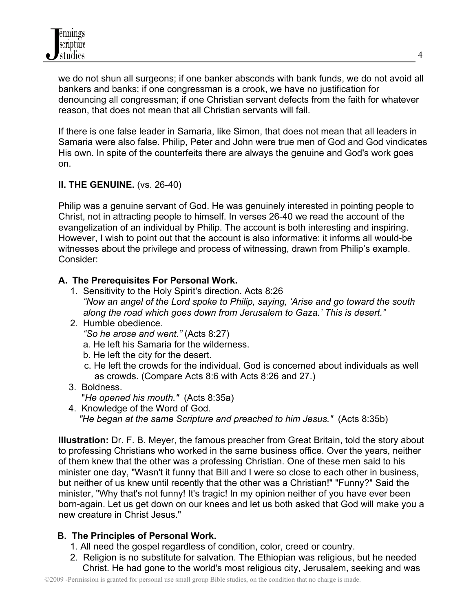we do not shun all surgeons; if one banker absconds with bank funds, we do not avoid all bankers and banks; if one congressman is a crook, we have no justification for denouncing all congressman; if one Christian servant defects from the faith for whatever reason, that does not mean that all Christian servants will fail.

If there is one false leader in Samaria, like Simon, that does not mean that all leaders in Samaria were also false. Philip, Peter and John were true men of God and God vindicates His own. In spite of the counterfeits there are always the genuine and God's work goes on.

## **II. THE GENUINE.** (vs. 26-40)

Philip was a genuine servant of God. He was genuinely interested in pointing people to Christ, not in attracting people to himself. In verses 26-40 we read the account of the evangelization of an individual by Philip. The account is both interesting and inspiring. However, I wish to point out that the account is also informative: it informs all would-be witnesses about the privilege and process of witnessing, drawn from Philip's example. Consider:

## **A. The Prerequisites For Personal Work.**

- 1. Sensitivity to the Holy Spirit's direction. Acts 8:26  *"Now an angel of the Lord spoke to Philip, saying, 'Arise and go toward the south along the road which goes down from Jerusalem to Gaza.' This is desert."*
- 2. Humble obedience.
	- *"So he arose and went."* (Acts 8:27)
	- a. He left his Samaria for the wilderness.
	- b. He left the city for the desert.
	- c. He left the crowds for the individual. God is concerned about individuals as well as crowds. (Compare Acts 8:6 with Acts 8:26 and 27.)
- 3. Boldness.

"*He opened his mouth."* (Acts 8:35a)

 4. Knowledge of the Word of God. *"He began at the same Scripture and preached to him Jesus."* (Acts 8:35b)

**Illustration:** Dr. F. B. Meyer, the famous preacher from Great Britain, told the story about to professing Christians who worked in the same business office. Over the years, neither of them knew that the other was a professing Christian. One of these men said to his minister one day, "Wasn't it funny that Bill and I were so close to each other in business, but neither of us knew until recently that the other was a Christian!" "Funny?" Said the minister, "Why that's not funny! It's tragic! In my opinion neither of you have ever been born-again. Let us get down on our knees and let us both asked that God will make you a new creature in Christ Jesus."

## **B. The Principles of Personal Work.**

- 1. All need the gospel regardless of condition, color, creed or country.
- 2. Religion is no substitute for salvation. The Ethiopian was religious, but he needed Christ. He had gone to the world's most religious city, Jerusalem, seeking and was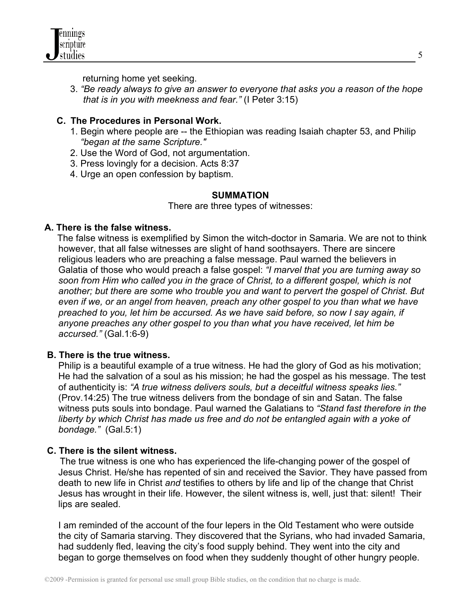

returning home yet seeking.

3. *"Be ready always to give an answer to everyone that asks you a reason of the hope that is in you with meekness and fear."* (I Peter 3:15)

#### **C. The Procedures in Personal Work.**

- 1. Begin where people are -- the Ethiopian was reading Isaiah chapter 53, and Philip  *"began at the same Scripture."*
- 2. Use the Word of God, not argumentation.
- 3. Press lovingly for a decision. Acts 8:37
- 4. Urge an open confession by baptism.

#### **SUMMATION**

There are three types of witnesses:

#### **A. There is the false witness.**

 The false witness is exemplified by Simon the witch-doctor in Samaria. We are not to think however, that all false witnesses are slight of hand soothsayers. There are sincere religious leaders who are preaching a false message. Paul warned the believers in Galatia of those who would preach a false gospel: *"I marvel that you are turning away so soon from Him who called you in the grace of Christ, to a different gospel, which is not another; but there are some who trouble you and want to pervert the gospel of Christ. But even if we, or an angel from heaven, preach any other gospel to you than what we have preached to you, let him be accursed. As we have said before, so now I say again, if anyone preaches any other gospel to you than what you have received, let him be accursed."* (Gal.1:6-9)

#### **B. There is the true witness.**

Philip is a beautiful example of a true witness. He had the glory of God as his motivation; He had the salvation of a soul as his mission; he had the gospel as his message. The test of authenticity is: *"A true witness delivers souls, but a deceitful witness speaks lies."* (Prov.14:25) The true witness delivers from the bondage of sin and Satan. The false witness puts souls into bondage. Paul warned the Galatians to *"Stand fast therefore in the liberty by which Christ has made us free and do not be entangled again with a yoke of bondage."* (Gal.5:1)

#### **C. There is the silent witness.**

The true witness is one who has experienced the life-changing power of the gospel of Jesus Christ. He/she has repented of sin and received the Savior. They have passed from death to new life in Christ *and* testifies to others by life and lip of the change that Christ Jesus has wrought in their life. However, the silent witness is, well, just that: silent! Their lips are sealed.

I am reminded of the account of the four lepers in the Old Testament who were outside the city of Samaria starving. They discovered that the Syrians, who had invaded Samaria, had suddenly fled, leaving the city's food supply behind. They went into the city and began to gorge themselves on food when they suddenly thought of other hungry people.